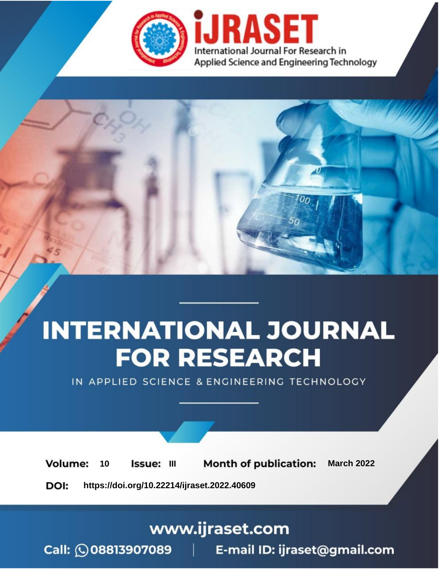

# **INTERNATIONAL JOURNAL FOR RESEARCH**

IN APPLIED SCIENCE & ENGINEERING TECHNOLOGY

10 **Issue: III Month of publication:** March 2022 **Volume:** 

**https://doi.org/10.22214/ijraset.2022.40609**DOI:

www.ijraset.com

Call: 008813907089 | E-mail ID: ijraset@gmail.com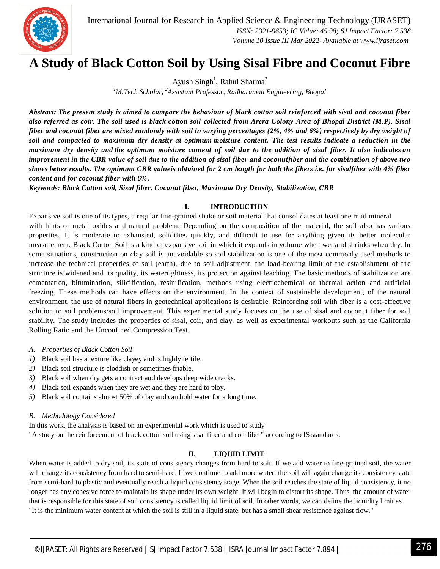International Journal for Research in Applied Science & Engineering Technology (IJRASET**)**  *ISSN: 2321-9653; IC Value: 45.98; SJ Impact Factor: 7.538 Volume 10 Issue III Mar 2022- Available at www.ijraset.com*



### **A Study of Black Cotton Soil by Using Sisal Fibre and Coconut Fibre**

Ayush  $\text{Singh}^1$ , Rahul Sharma<sup>2</sup>

*<sup>1</sup>M.Tech Scholar, <sup>2</sup>Assistant Professor, Radharaman Engineering, Bhopal*

*Abstract: The present study is aimed to compare the behaviour of black cotton soil reinforced with sisal and coconut fiber also referred as coir. The soil used is black cotton soil collected from Arera Colony Area of Bhopal District (M.P). Sisal*  fiber and coconut fiber are mixed randomly with soil in varying percentages (2%, 4% and 6%) respectively by dry weight of soil and compacted to maximum dry density at optimum moisture content. The test results indicate a reduction in the maximum dry density and the optimum moisture content of soil due to the addition of sisal fiber. It also indicates an improvement in the CBR value of soil due to the addition of sisal fiber and coconutfiber and the combination of above two *shows better results. The optimum CBR valueis obtained for 2 cm length for both the fibers i.e. for sisalfiber with 4% fiber content and for coconut fiber with 6%.*

*Keywords: Black Cotton soil, Sisal fiber, Coconut fiber, Maximum Dry Density, Stabilization, CBR*

#### **I. INTRODUCTION**

Expansive soil is one of its types, a regular fine-grained shake or soil material that consolidates at least one mud mineral with hints of metal oxides and natural problem. Depending on the composition of the material, the soil also has various properties. It is moderate to exhausted, solidifies quickly, and difficult to use for anything given its better molecular measurement. Black Cotton Soil is a kind of expansive soil in which it expands in volume when wet and shrinks when dry. In some situations, construction on clay soil is unavoidable so soil stabilization is one of the most commonly used methods to increase the technical properties of soil (earth), due to soil adjustment, the load-bearing limit of the establishment of the structure is widened and its quality, its watertightness, its protection against leaching. The basic methods of stabilization are cementation, bitumination, silicification, resinification, methods using electrochemical or thermal action and artificial freezing. These methods can have effects on the environment. In the context of sustainable development, of the natural environment, the use of natural fibers in geotechnical applications is desirable. Reinforcing soil with fiber is a cost-effective solution to soil problems/soil improvement. This experimental study focuses on the use of sisal and coconut fiber for soil stability. The study includes the properties of sisal, coir, and clay, as well as experimental workouts such as the California Rolling Ratio and the Unconfined Compression Test.

- *A. Properties of Black Cotton Soil*
- *1)* Black soil has a texture like clayey and is highly fertile.
- *2)* Black soil structure is cloddish or sometimes friable.
- *3)* Black soil when dry gets a contract and develops deep wide cracks.
- *4)* Black soil expands when they are wet and they are hard to ploy.
- *5)* Black soil contains almost 50% of clay and can hold water for a long time.

#### *B. Methodology Considered*

In this work, the analysis is based on an experimental work which is used to study

"A study on the reinforcement of black cotton soil using sisal fiber and coir fiber" according to IS standards.

#### **II. LIQUID LIMIT**

When water is added to dry soil, its state of consistency changes from hard to soft. If we add water to fine-grained soil, the water will change its consistency from hard to semi-hard. If we continue to add more water, the soil will again change its consistency state from semi-hard to plastic and eventually reach a liquid consistency stage. When the soil reaches the state of liquid consistency, it no longer has any cohesive force to maintain its shape under its own weight. It will begin to distort its shape. Thus, the amount of water that is responsible for this state of soil consistency is called liquid limit of soil. In other words, we can define the liquidity limit as "It is the minimum water content at which the soil is still in a liquid state, but has a small shear resistance against flow."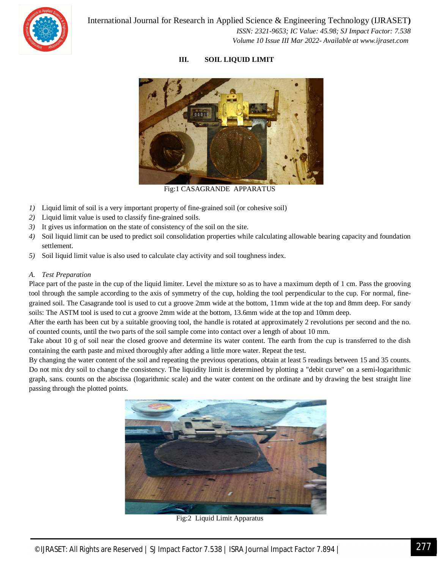

#### **III. SOIL LIQUID LIMIT**



Fig:1 CASAGRANDE APPARATUS

- *1*) Liquid limit of soil is a very important property of fine-grained soil (or cohesive soil)
- *2)* Liquid limit value is used to classify fine-grained soils.
- *3)* It gives us information on the state of consistency of the soil on the site.
- *4)* Soil liquid limit can be used to predict soil consolidation properties while calculating allowable bearing capacity and foundation settlement.
- *5)* Soil liquid limit value is also used to calculate clay activity and soil toughness index.

#### *A. Test Preparation*

Place part of the paste in the cup of the liquid limiter. Level the mixture so as to have a maximum depth of 1 cm. Pass the grooving tool through the sample according to the axis of symmetry of the cup, holding the tool perpendicular to the cup. For normal, finegrained soil. The Casagrande tool is used to cut a groove 2mm wide at the bottom, 11mm wide at the top and 8mm deep. For sandy soils: The ASTM tool is used to cut a groove 2mm wide at the bottom, 13.6mm wide at the top and 10mm deep.

After the earth has been cut by a suitable grooving tool, the handle is rotated at approximately 2 revolutions per second and the no. of counted counts, until the two parts of the soil sample come into contact over a length of about 10 mm.

Take about 10 g of soil near the closed groove and determine its water content. The earth from the cup is transferred to the dish containing the earth paste and mixed thoroughly after adding a little more water. Repeat the test.

By changing the water content of the soil and repeating the previous operations, obtain at least 5 readings between 15 and 35 counts. Do not mix dry soil to change the consistency. The liquidity limit is determined by plotting a "debit curve" on a semi-logarithmic graph, sans. counts on the abscissa (logarithmic scale) and the water content on the ordinate and by drawing the best straight line passing through the plotted points.



Fig:2 Liquid Limit Apparatus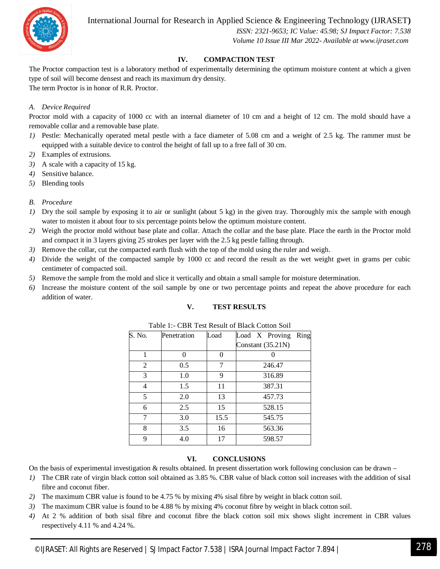

International Journal for Research in Applied Science & Engineering Technology (IJRASET**)**

 *ISSN: 2321-9653; IC Value: 45.98; SJ Impact Factor: 7.538 Volume 10 Issue III Mar 2022- Available at www.ijraset.com*

#### **IV. COMPACTION TEST**

The Proctor compaction test is a laboratory method of experimentally determining the optimum moisture content at which a given type of soil will become densest and reach its maximum dry density. The term Proctor is in honor of R.R. Proctor.

#### *A. Device Required*

Proctor mold with a capacity of 1000 cc with an internal diameter of 10 cm and a height of 12 cm. The mold should have a removable collar and a removable base plate.

- *1)* Pestle: Mechanically operated metal pestle with a face diameter of 5.08 cm and a weight of 2.5 kg. The rammer must be equipped with a suitable device to control the height of fall up to a free fall of 30 cm.
- *2)* Examples of extrusions.
- *3)* A scale with a capacity of 15 kg.
- *4)* Sensitive balance.
- *5)* Blending tools
- *B. Procedure*
- *1)* Dry the soil sample by exposing it to air or sunlight (about 5 kg) in the given tray. Thoroughly mix the sample with enough water to moisten it about four to six percentage points below the optimum moisture content.
- *2)* Weigh the proctor mold without base plate and collar. Attach the collar and the base plate. Place the earth in the Proctor mold and compact it in 3 layers giving 25 strokes per layer with the 2.5 kg pestle falling through.
- *3)* Remove the collar, cut the compacted earth flush with the top of the mold using the ruler and weigh.
- *4)* Divide the weight of the compacted sample by 1000 cc and record the result as the wet weight gwet in grams per cubic centimeter of compacted soil.
- *5)* Remove the sample from the mold and slice it vertically and obtain a small sample for moisture determination.
- *6)* Increase the moisture content of the soil sample by one or two percentage points and repeat the above procedure for each addition of water.

#### **V. TEST RESULTS**

| S. No.         | Penetration | Load | Load X Proving<br>Ring |
|----------------|-------------|------|------------------------|
|                |             |      | Constant $(35.21N)$    |
| 1              | O           | 0    |                        |
| $\overline{2}$ | 0.5         | 7    | 246.47                 |
| 3              | 1.0         | 9    | 316.89                 |
| 4              | 1.5         | 11   | 387.31                 |
| 5              | 2.0         | 13   | 457.73                 |
| 6              | 2.5         | 15   | 528.15                 |
| 7              | 3.0         | 15.5 | 545.75                 |
| 8              | 3.5         | 16   | 563.36                 |
| 9              | 4.0         | 17   | 598.57                 |

Table 1:- CBR Test Result of Black Cotton Soil

#### **VI. CONCLUSIONS**

On the basis of experimental investigation & results obtained. In present dissertation work following conclusion can be drawn –

- *1)* The CBR rate of virgin black cotton soil obtained as 3.85 %. CBR value of black cotton soil increases with the addition of sisal fibre and coconut fiber.
- *2)* The maximum CBR value is found to be 4.75 % by mixing 4% sisal fibre by weight in black cotton soil.
- *3)* The maximum CBR value is found to be 4.88 % by mixing 4% coconut fibre by weight in black cotton soil.
- *4)* At 2 % addition of both sisal fibre and coconut fibre the black cotton soil mix shows slight increment in CBR values respectively 4.11 % and 4.24 %.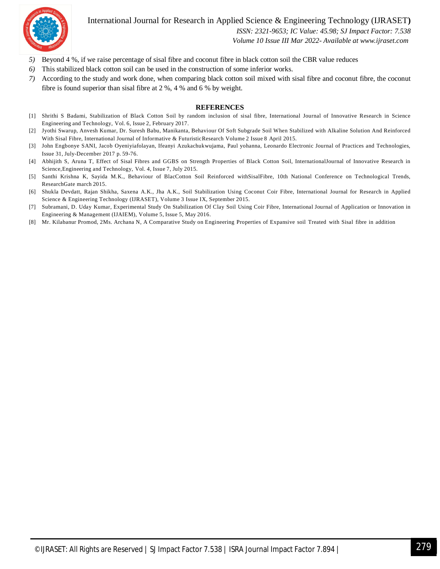

#### International Journal for Research in Applied Science & Engineering Technology (IJRASET**)**

 *ISSN: 2321-9653; IC Value: 45.98; SJ Impact Factor: 7.538*

 *Volume 10 Issue III Mar 2022- Available at www.ijraset.com*

- *5)* Beyond 4 %, if we raise percentage of sisal fibre and coconut fibre in black cotton soil the CBR value reduces
- *6)* This stabilized black cotton soil can be used in the construction of some inferior works.
- *7)* According to the study and work done, when comparing black cotton soil mixed with sisal fibre and coconut fibre, the coconut fibre is found superior than sisal fibre at 2 %, 4 % and 6 % by weight.

#### **REFERENCES**

- [1] Shrithi S Badami, Stabilization of Black Cotton Soil by random inclusion of sisal fibre, International Journal of Innovative Research in Science Engineering and Technology, Vol. 6, Issue 2, February 2017.
- [2] Jyothi Swarup, Anvesh Kumar, Dr. Suresh Babu, Manikanta, Behaviour Of Soft Subgrade Soil When Stabilized with Alkaline Solution And Reinforced With Sisal Fibre, International Journal of Informative & FuturisticResearch Volume 2 Issue 8 April 2015.
- [3] John Engbonye SANI, Jacob Oyeniyiafolayan, Ifeanyi Azukachukwujama, Paul yohanna, Leonardo Electronic Journal of Practices and Technologies, Issue 31, July-December 2017 p. 59-76.
- [4] Abhijith S, Aruna T, Effect of Sisal Fibres and GGBS on Strength Properties of Black Cotton Soil, InternationalJournal of Innovative Research in Science,Engineering and Technology, Vol. 4, Issue 7, July 2015.
- [5] Santhi Krishna K, Sayida M.K., Behaviour of BlacCotton Soil Reinforced withSisalFibre, 10th National Conference on Technological Trends, ResearchGate march 2015.
- [6] Shukla Devdatt, Rajan Shikha, Saxena A.K., Jha A.K., Soil Stabilization Using Coconut Coir Fibre, International Journal for Research in Applied Science & Engineering Technology (IJRASET), Volume 3 Issue IX, September 2015.
- [7] Subramani, D. Uday Kumar, Experimental Study On Stabilization Of Clay Soil Using Coir Fibre, International Journal of Application or Innovation in Engineering & Management (IJAIEM), Volume 5, Issue 5, May 2016.
- [8] Mr. Kilabanur Promod, 2Ms. Archana N, A Comparative Study on Engineering Properties of Expansive soil Treated with Sisal fibre in addition